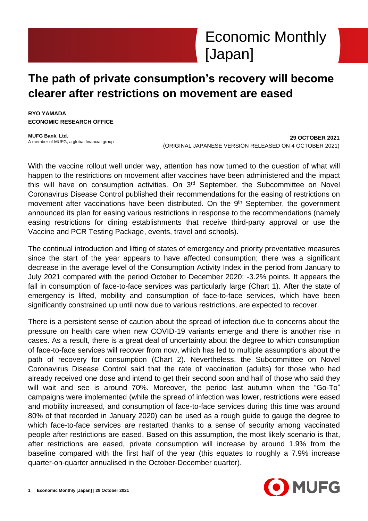

# **The path of private consumption's recovery will become clearer after restrictions on movement are eased**

**RYO YAMADA ECONOMIC RESEARCH OFFICE**

**MUFG Bank, Ltd.** A member of MUFG, a global financial group

**29 OCTOBER 2021** (ORIGINAL JAPANESE VERSION RELEASED ON 4 OCTOBER 2021)

With the vaccine rollout well under way, attention has now turned to the question of what will happen to the restrictions on movement after vaccines have been administered and the impact this will have on consumption activities. On 3<sup>rd</sup> September, the Subcommittee on Novel Coronavirus Disease Control published their recommendations for the easing of restrictions on movement after vaccinations have been distributed. On the 9<sup>th</sup> September, the government announced its plan for easing various restrictions in response to the recommendations (namely easing restrictions for dining establishments that receive third-party approval or use the Vaccine and PCR Testing Package, events, travel and schools).

The continual introduction and lifting of states of emergency and priority preventative measures since the start of the year appears to have affected consumption; there was a significant decrease in the average level of the Consumption Activity Index in the period from January to July 2021 compared with the period October to December 2020: -3.2% points. It appears the fall in consumption of face-to-face services was particularly large (Chart 1). After the state of emergency is lifted, mobility and consumption of face-to-face services, which have been significantly constrained up until now due to various restrictions, are expected to recover.

There is a persistent sense of caution about the spread of infection due to concerns about the pressure on health care when new COVID-19 variants emerge and there is another rise in cases. As a result, there is a great deal of uncertainty about the degree to which consumption of face-to-face services will recover from now, which has led to multiple assumptions about the path of recovery for consumption (Chart 2). Nevertheless, the Subcommittee on Novel Coronavirus Disease Control said that the rate of vaccination (adults) for those who had already received one dose and intend to get their second soon and half of those who said they will wait and see is around 70%. Moreover, the period last autumn when the "Go-To" campaigns were implemented (while the spread of infection was lower, restrictions were eased and mobility increased, and consumption of face-to-face services during this time was around 80% of that recorded in January 2020) can be used as a rough guide to gauge the degree to which face-to-face services are restarted thanks to a sense of security among vaccinated people after restrictions are eased. Based on this assumption, the most likely scenario is that, after restrictions are eased, private consumption will increase by around 1.9% from the baseline compared with the first half of the year (this equates to roughly a 7.9% increase quarter-on-quarter annualised in the October-December quarter).

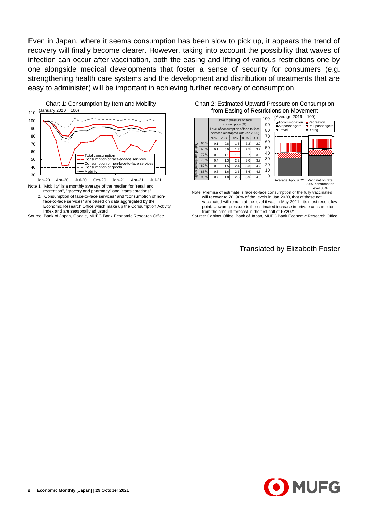Even in Japan, where it seems consumption has been slow to pick up, it appears the trend of recovery will finally become clearer. However, taking into account the possibility that waves of infection can occur after vaccination, both the easing and lifting of various restrictions one by one alongside medical developments that foster a sense of security for consumers (e.g. strengthening health care systems and the development and distribution of treatments that are easy to administer) will be important in achieving further recovery of consumption.



Note 1. "Mobility" is a monthly average of the median for "retail and recreation", "grocery and pharmacy" and "transit stations"

2."Consumption of face-to-face services" and "consumption of non-Economic Research Office which make up the Consumption Activity Index and are seasonally adjusted

Source: Bank of Japan, Google, MUFG Bank Economic Research Office

| Chart 2: Estimated Upward Pressure on Consumption |  |
|---------------------------------------------------|--|
| from Easing of Restrictions on Movement           |  |



Note: Premise of estimate is face-to-face consumption of the fully vaccinated will recover to 70~90% of the levels in Jan 2020, that of those not vaccinated will remain at the level it was in May 2021 - its most recent low point. Upward pressure is the estimated increase in private consumption from the amount forecast in the first half of FY2021

Source: Cabinet Office, Bank of Japan, MUFG Bank Economic Research Office

Translated by Elizabeth Foster

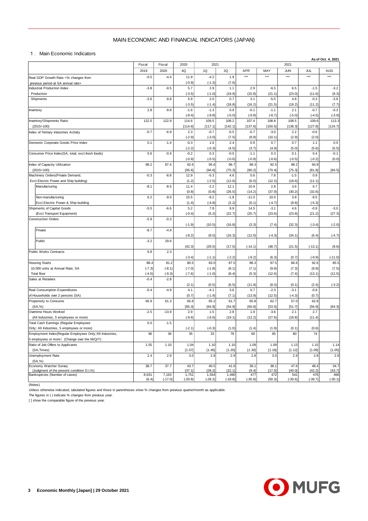## MAIN ECONOMIC AND FINANCIAL INDICATORS (JAPAN)

|                                                                                                          | MAIN ECONOMIC AND FINANCIAL INDICATORS (JAPAN) |           |                    |                    |                  |                    |                    |                  |                    |                    |  |  |
|----------------------------------------------------------------------------------------------------------|------------------------------------------------|-----------|--------------------|--------------------|------------------|--------------------|--------------------|------------------|--------------------|--------------------|--|--|
| 1. Main Economic Indicators                                                                              |                                                |           |                    |                    |                  |                    |                    |                  |                    |                    |  |  |
|                                                                                                          | Fiscal                                         | Fiscal    | 2020               | 2021               |                  |                    |                    | 2021             |                    | As of Oct. 4, 2021 |  |  |
|                                                                                                          | 2019                                           | 2020      | 4Q                 | 1Q                 | 2Q               | <b>APR</b>         | MAY                | <b>JUN</b>       | JUL                | AUG                |  |  |
| Real GDP Growth Rate <% changes from                                                                     | $-0.5$                                         | $-4.4$    | 11.9               | $-4.2$             | 1.9              | $***$              | $***$              | $***$            | $***$              | ***                |  |  |
| previous period at SA annual rate>                                                                       |                                                |           | $(-0.9)$           | $(-1.3)$           | (7.6)            |                    |                    |                  |                    |                    |  |  |
| Industrial Production Index<br>Production                                                                | $-3.8$                                         | $-9.5$    | 5.7<br>$(-3.5)$    | 2.9<br>$(-1.0)$    | 1.1<br>(19.9)    | 2.9<br>(15.8)      | $-6.5$<br>(21.1)   | 6.5<br>(23.0)    | $-1.5$<br>(11.6)   | $-3.2$<br>(9.3)    |  |  |
| Shipments                                                                                                | $-3.6$                                         | $-9.8$    | 5.9                | 2.0                | 0.7              | 3.1                | $-5.5$             | 4.8              | $-0.3$             | $-3.8$             |  |  |
|                                                                                                          |                                                |           | $(-3.5)$           | $(-1.4)$           | (18.8)           | (16.2)             | (21.5)             | (19.2)           | (11.2)             | (7.7)              |  |  |
| Inventory                                                                                                | 2.8                                            | $-9.8$    | $-1.6$<br>$(-8.4)$ | $-1.3$<br>$(-9.8)$ | 0.9<br>$(-5.0)$  | $-0.1$<br>$(-9.8)$ | $-1.1$<br>$(-8.7)$ | 2.1<br>$(-5.0)$  | $-0.7$<br>$(-4.5)$ | $-0.3$<br>$(-3.9)$ |  |  |
| Inventory/Shipments Ratio                                                                                | 122.5                                          | 122.9     | 114.6              | 109.5              | 108.2            | 107.4              | 108.8              | 108.5            | 109.6              | 113.3              |  |  |
| $(2015=100)$                                                                                             |                                                |           | [114.6]            | [117.1]            | [142.1]          | [137.6]            | [150.5]            | [138.3]          | [127.8]            | [124.7]            |  |  |
| Index of Tertiary Industries Activity                                                                    | $-0.7$                                         | $-6.9$    | 2.3<br>$(-2.9)$    | $-0.7$<br>$(-3.0)$ | $-0.5$<br>(7.5)  | $-0.7$<br>(9.9)    | $-3.0$<br>(10.1)   | 2.2<br>(2.9)     | $-0.6$<br>(2.0)    |                    |  |  |
| Domestic Corporate Goods Price Index                                                                     | 0.1                                            | $-1.4$    | $-0.3$             | 1.6                | 2.4              | 0.9                | 0.7                | 0.7              | 1.1                | 0.0                |  |  |
|                                                                                                          |                                                |           | $(-2.2)$           | $(-0.3)$           | (4.5)            | (3.7)              | (4.9)              | (5.0)            | (5.6)              | (5.5)              |  |  |
| Consumer Price Index(SA, total, excl.fresh foods)                                                        | 0.6                                            | $-0.4$    | $-0.2$             | 0.3                | $-0.5$           | $-1.1$             | 0.3                | 0.1              | 0.4                | $-0.1$             |  |  |
| Index of Capacity Utilization                                                                            | 98.2                                           | 87.4      | $(-0.9)$<br>92.6   | $(-0.5)$<br>95.6   | $(-0.6)$<br>96.7 | $(-0.9)$<br>99.3   | $(-0.6)$<br>92.5   | $(-0.5)$<br>98.2 | $(-0.2)$<br>94.9   | (0.0)              |  |  |
| $(2015=100)$                                                                                             |                                                |           | [95.6]             | [94.6]             | [75.3]           | [80.2]             | [70.4]             | [75.3]           | [81.9]             | [84.5]             |  |  |
| Machinery Orders (Private Demand,                                                                        | $-0.3$                                         | $-8.8$    | 12.9               | $-5.3$             | 4.6              | 0.6                | 7.8                | $-1.5$           | 0.9                |                    |  |  |
| Excl.Electric Power and Ship building)<br>Manufacturing                                                  | $-8.1$                                         | $-8.5$    | (1.2)<br>11.4      | $(-2.5)$<br>$-2.2$ | (12.6)<br>12.1   | (6.5)<br>10.9      | (12.2)<br>2.8      | (18.6)<br>3.6    | (11.1)<br>6.7      |                    |  |  |
|                                                                                                          |                                                |           | (0.8)              | (0.8)              | (26.5)           | (14.2)             | (37.9)             | (30.2)           | (32.6)             |                    |  |  |
| Non-manufacturing                                                                                        | 6.2                                            | $-9.0$    | 15.5               | $-9.2$             | $-1.8$           | $-11.0$            | 10.0               | 3.8              | $-9.5$             |                    |  |  |
| Excl. Electric Power & Ship building                                                                     |                                                |           | (1.4)              | $(-4.8)$           | (2.2)            | (0.1)              | $(-4.7)$           | (9.8)            | $(-5.3)$           |                    |  |  |
| Shipments of Capital Goods<br>(Excl.Transport Equipment)                                                 | $-5.5$                                         | $-6.6$    | 5.2<br>$(-0.4)$    | 7.8<br>(5.2)       | 9.9<br>(22.7)    | 14.5<br>(20.7)     | $-3.1$<br>(23.6)   | 4.6<br>(23.8)    | $-0.9$<br>(21.2)   | $-3.0$<br>(27.3)   |  |  |
| <b>Construction Orders</b>                                                                               | $-5.9$                                         | $-0.3$    |                    |                    |                  |                    |                    |                  |                    |                    |  |  |
|                                                                                                          |                                                |           | $(-1.9)$           | (10.5)             | (16.8)           | (3.3)              | (7.4)              | (32.3)           | $(-3.4)$           | $(-2.0)$           |  |  |
| Private                                                                                                  | $-8.7$                                         | $-4.9$    |                    |                    |                  |                    |                    |                  |                    |                    |  |  |
| Public                                                                                                   | $-3.2$                                         | 29.6      | $(-8.2)$           | (9.5)              | (16.3)           | (12.0)             | $(-4.3)$           | (34.1)           | (6.4)              | $(-4.7)$           |  |  |
|                                                                                                          |                                                |           | (42.3)             | (29.5)             | (17.5)           | $(-14.1)$          | (48.7)             | (21.5)           | $(-13.1)$          | (9.6)              |  |  |
| Public Works Contracts                                                                                   | 6.8                                            | 2.3       |                    |                    |                  |                    |                    |                  |                    |                    |  |  |
| <b>Housing Starts</b>                                                                                    | 88.4                                           | 81.2      | $(-3.4)$<br>80.5   | $(-1.1)$<br>83.0   | $(-2.2)$<br>87.5 | $(-9.2)$<br>88.3   | (6.3)<br>87.5      | (0.7)<br>86.6    | $(-9.9)$<br>92.6   | $(-11.0)$<br>85.5  |  |  |
| 10,000 units at Annual Rate, SA                                                                          | $(-7.3)$                                       | $(-8.1)$  | $(-7.0)$           | $(-1.8)$           | (8.1)            | (7.1)              | (9.9)              | (7.3)            | (9.9)              | (7.5)              |  |  |
| Total floor                                                                                              | $(-4.5)$                                       | $(-9.3)$  | $(-7.6)$           | $(-1.0)$           | (8.4)            | (5.3)              | (12.6)             | (7.4)            | (13.1)             | (12.5)             |  |  |
| Sales at Retailers                                                                                       | $-0.4$                                         | $-2.8$    |                    |                    |                  |                    |                    |                  |                    |                    |  |  |
| Real Consumption Expenditures                                                                            | $-0.4$                                         | $-4.9$    | (2.1)<br>4.1       | (0.5)<br>$-4.1$    | (6.5)<br>3.6     | (11.9)<br>0.7      | (8.3)<br>$-2.3$    | (0.1)<br>$-3.1$  | (2.4)<br>$-0.9$    | $(-3.2)$           |  |  |
| of Households over 2 persons (SA)                                                                        |                                                |           | (0.7)              | $(-1.9)$           | (7.1)            | (13.9)             | (12.5)             | $(-4.3)$         | (0.7)              |                    |  |  |
| Propensity to Consume                                                                                    | 66.9                                           | 61.3      | 65.8               | 65.2               | 61.7             | 65.8               | 62.7               | 57.0             | 62.8               |                    |  |  |
| (SA, %)<br>Overtime Hours Worked                                                                         | $-2.5$                                         | $-13.9$   | [65.3]<br>2.9      | [64.9]<br>1.5      | [54.9]<br>2.8    | [60.6]<br>1.9      | [53.5]<br>$-3.6$   | [51.7]<br>2.1    | [56.9]<br>2.7      | [64.3]             |  |  |
| (All Industries, 5 employees or more)                                                                    |                                                |           | $(-9.6)$           | $(-6.6)$           | (19.1)           | (12.2)             | (27.6)             | (18.8)           | (11.4)             |                    |  |  |
| Total Cash Earnings (Regular Employees                                                                   | 0.0                                            | $-1.5$    |                    |                    |                  |                    |                    |                  |                    |                    |  |  |
| Only; All Industries, 5 employees or more)<br>Employment Index (Regular Employees Only; 'All Industries, |                                                |           | $(-2.1)$           | $(-0.3)$           | (1.0)            | (1.4)              | (1.9)              | (0.1)            | (0.6)              |                    |  |  |
| 5 employees or more) (Change over the M/Q/Y)                                                             | 96                                             | 36        | 35                 | 33                 | 78               | 60                 | 95                 | 80               | 74                 |                    |  |  |
| Ratio of Job Offers to Applicants                                                                        | 1.55                                           | 1.10      | 1.04               | 1.10               | 1.10             | 1.09               | 1.09               | 1.13             | 1.15               | 1.14               |  |  |
| (SA, Times)                                                                                              |                                                |           | [1.57]             | [1.45]             | [1.20]           | [1.30]             | [1.18]             | [1.12]           | [1.09]             | [1.05]             |  |  |
| Unemployment Rate<br>(SA, %)                                                                             | 2.4                                            | 2.9       | 3.0                | 2.8                | 2.9              | 2.8                | 3.0                | 2.9              | 2.8                | 2.8                |  |  |
| Economy Watcher Survey                                                                                   | 38.7                                           | 37.7      | 43.7               | 40.5               | 41.6             | 39.1               | 38.1               | 47.6             | 48.4               | 34.7               |  |  |
| (Judgment of the present condition D.I,%)<br>Bankruptcies (Number of cases)                              | 8,631                                          | 7,163     | [37.1]             | [28.2]             | [22.1]<br>1,490  | [9.4]<br>477       | [17.0]             | [40.0]<br>541    | [42.2]             | [43.7]<br>466      |  |  |
|                                                                                                          | (6.4)                                          | $(-17.0)$ | 1,751<br>$(-20.8)$ | 1,554<br>$(-28.2)$ | $(-18.8)$        | $(-35.8)$          | 472<br>(50.3)      | $(-30.6)$        | 476<br>$(-39.7)$   | $(-30.1)$          |  |  |

(Notes)

Unless otherwise indicated, tabulated figures and those in parentheses show % changes from previous quarter/month as applicable.

The figures in ( ) indicate % changes from previous year.

[ ] show the comparable figure of the previous year.